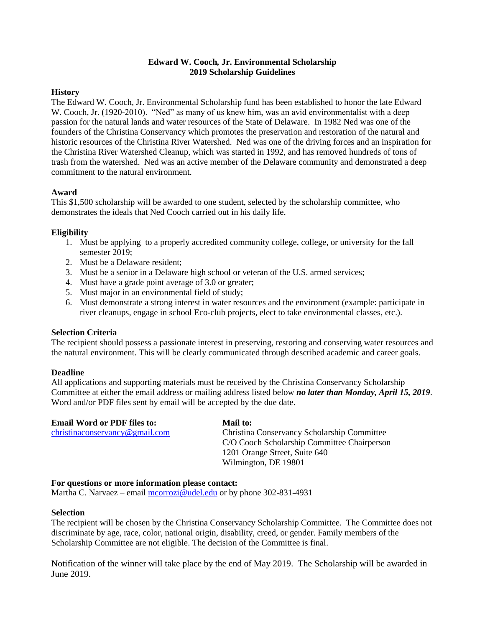# **Edward W. Cooch***,* **Jr. Environmental Scholarship 2019 Scholarship Guidelines**

## **History**

The Edward W. Cooch*,* Jr. Environmental Scholarship fund has been established to honor the late Edward W. Cooch, Jr. (1920-2010). "Ned" as many of us knew him, was an avid environmentalist with a deep passion for the natural lands and water resources of the State of Delaware. In 1982 Ned was one of the founders of the Christina Conservancy which promotes the preservation and restoration of the natural and historic resources of the Christina River Watershed. Ned was one of the driving forces and an inspiration for the Christina River Watershed Cleanup, which was started in 1992, and has removed hundreds of tons of trash from the watershed. Ned was an active member of the Delaware community and demonstrated a deep commitment to the natural environment.

## **Award**

This \$1,500 scholarship will be awarded to one student, selected by the scholarship committee, who demonstrates the ideals that Ned Cooch carried out in his daily life.

## **Eligibility**

- 1. Must be applying to a properly accredited community college, college, or university for the fall semester 2019;
- 2. Must be a Delaware resident;
- 3. Must be a senior in a Delaware high school or veteran of the U.S. armed services;
- 4. Must have a grade point average of 3.0 or greater;
- 5. Must major in an environmental field of study;
- 6. Must demonstrate a strong interest in water resources and the environment (example: participate in river cleanups, engage in school Eco-club projects, elect to take environmental classes, etc.).

#### **Selection Criteria**

The recipient should possess a passionate interest in preserving, restoring and conserving water resources and the natural environment. This will be clearly communicated through described academic and career goals.

#### **Deadline**

All applications and supporting materials must be received by the Christina Conservancy Scholarship Committee at either the email address or mailing address listed below *no later than Monday, April 15, 2019*. Word and/or PDF files sent by email will be accepted by the due date.

| <b>Email Word or PDF files to:</b> | Mail to:                                    |
|------------------------------------|---------------------------------------------|
| christinaconservancy@gmail.com     | Christina Conservancy Scholarship Committee |
|                                    | C/O Cooch Scholarship Committee Chairperson |
|                                    | 1201 Orange Street, Suite 640               |
|                                    | Wilmington, DE 19801                        |

#### **For questions or more information please contact:**

Martha C. Narvaez – email [mcorrozi@udel.edu](mailto:mcorrozi@udel.edu) or by phone 302-831-4931

#### **Selection**

The recipient will be chosen by the Christina Conservancy Scholarship Committee. The Committee does not discriminate by age, race, color, national origin, disability, creed, or gender. Family members of the Scholarship Committee are not eligible. The decision of the Committee is final.

Notification of the winner will take place by the end of May 2019. The Scholarship will be awarded in June 2019.